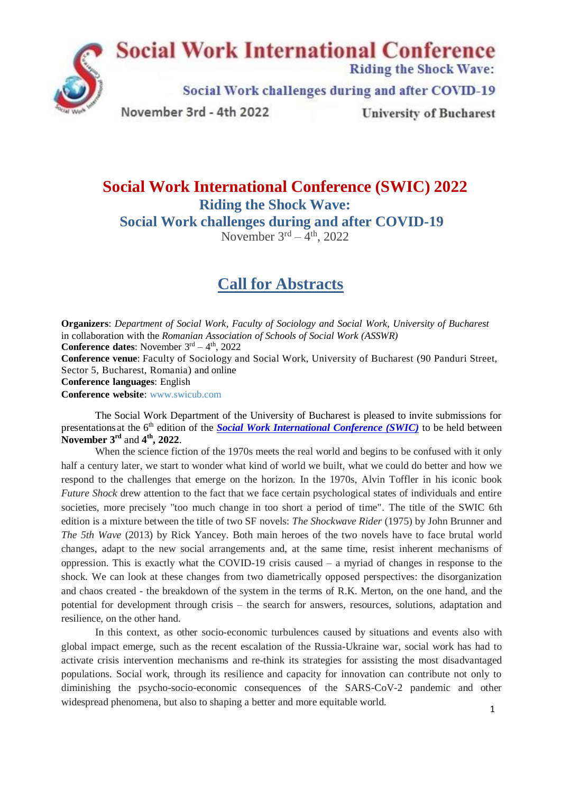

## **Social Work International Conference (SWIC) 2022 Riding the Shock Wave: Social Work challenges during and after COVID-19**

November  $3<sup>rd</sup> - 4<sup>th</sup>$ , 2022

# **Call for Abstracts**

**Organizers**: *Department of Social Work, Faculty of Sociology and Social Work, University of Bucharest* in collaboration with the *Romanian Association of Schools of Social Work (ASSWR)*

**Conference dates:** November  $3<sup>rd</sup> - 4<sup>th</sup>$ , 2022

**Conference venue**: Faculty of Sociology and Social Work, University of Bucharest (90 Panduri Street, Sector 5, Bucharest, Romania) and online

**Conference languages**: English

**Conference website**: [www.swicub.com](http://www.swicub.com/)

The Social Work Department of the University of Bucharest is pleased to invite submissions for presentations at the 6<sup>th</sup> edition of the *[Social Work International Conference \(SWIC\)](http://www.swicub.com/)* to be held between November  $3^{\text{rd}}$  and  $4^{\text{th}}$ , 2022.

When the science fiction of the 1970s meets the real world and begins to be confused with it only half a century later, we start to wonder what kind of world we built, what we could do better and how we respond to the challenges that emerge on the horizon. In the 1970s, Alvin Toffler in his iconic book *Future Shock* drew attention to the fact that we face certain psychological states of individuals and entire societies, more precisely "too much change in too short a period of time". The title of the SWIC 6th edition is a mixture between the title of two SF novels: *The Shockwave Rider* (1975) by John Brunner and *The 5th Wave* (2013) by Rick Yancey. Both main heroes of the two novels have to face brutal world changes, adapt to the new social arrangements and, at the same time, resist inherent mechanisms of oppression. This is exactly what the COVID-19 crisis caused – a myriad of changes in response to the shock. We can look at these changes from two diametrically opposed perspectives: the disorganization and chaos created - the breakdown of the system in the terms of R.K. Merton, on the one hand, and the potential for development through crisis – the search for answers, resources, solutions, adaptation and resilience, on the other hand.

In this context, as other socio-economic turbulences caused by situations and events also with global impact emerge, such as the recent escalation of the Russia-Ukraine war, social work has had to activate crisis intervention mechanisms and re-think its strategies for assisting the most disadvantaged populations. Social work, through its resilience and capacity for innovation can contribute not only to diminishing the psycho-socio-economic consequences of the SARS-CoV-2 pandemic and other widespread phenomena, but also to shaping a better and more equitable world.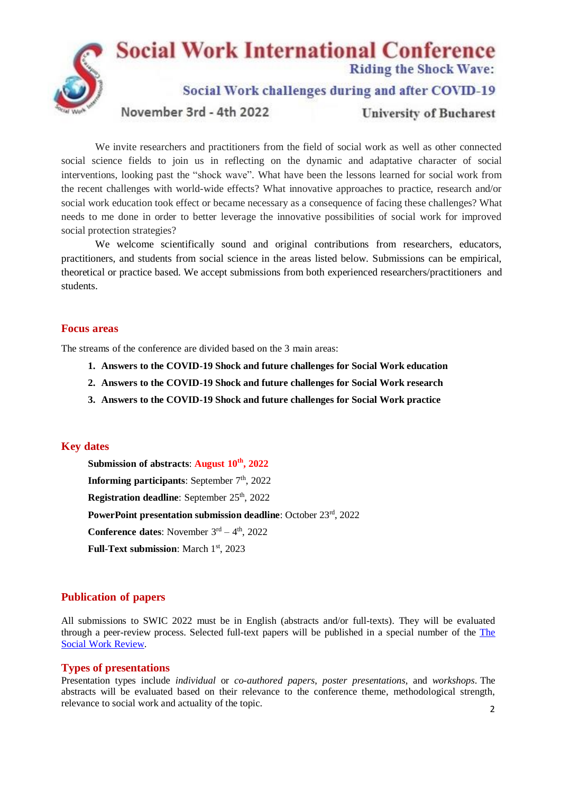

We invite researchers and practitioners from the field of social work as well as other connected social science fields to join us in reflecting on the dynamic and adaptative character of social interventions, looking past the "shock wave". What have been the lessons learned for social work from the recent challenges with world-wide effects? What innovative approaches to practice, research and/or social work education took effect or became necessary as a consequence of facing these challenges? What needs to me done in order to better leverage the innovative possibilities of social work for improved social protection strategies?

We welcome scientifically sound and original contributions from researchers, educators, practitioners, and students from social science in the areas listed below. Submissions can be empirical, theoretical or practice based. We accept submissions from both experienced researchers/practitioners and students.

#### **Focus areas**

The streams of the conference are divided based on the 3 main areas:

- **1. Answers to the COVID-19 Shock and future challenges for Social Work education**
- **2. Answers to the COVID-19 Shock and future challenges for Social Work research**
- **3. Answers to the COVID-19 Shock and future challenges for Social Work practice**

### **Key dates**

**Submission of abstracts**: **August 10th , 2022 Informing participants:** September  $7<sup>th</sup>$ , 2022 **Registration deadline:** September 25<sup>th</sup>, 2022 **PowerPoint presentation submission deadline**: October 23rd, 2022 **Conference dates:** November  $3<sup>rd</sup> - 4<sup>th</sup>$ , 2022 Full-Text submission: March 1<sup>st</sup>, 2023

### **Publication of papers**

All submissions to SWIC 2022 must be in English (abstracts and/or full-texts). They will be evaluated through a peer-review process. Selected full-text papers will be published in a special number of the [The](http://www.swreview.ro/index.pl/home_en) Social Work [Review.](http://www.swreview.ro/index.pl/home_en)

#### **Types of presentations**

 $\mathcal{L}$ Presentation types include *individual* or *co-authored papers*, *poster presentations*, and *workshops*. The abstracts will be evaluated based on their relevance to the conference theme, methodological strength, relevance to social work and actuality of the topic.